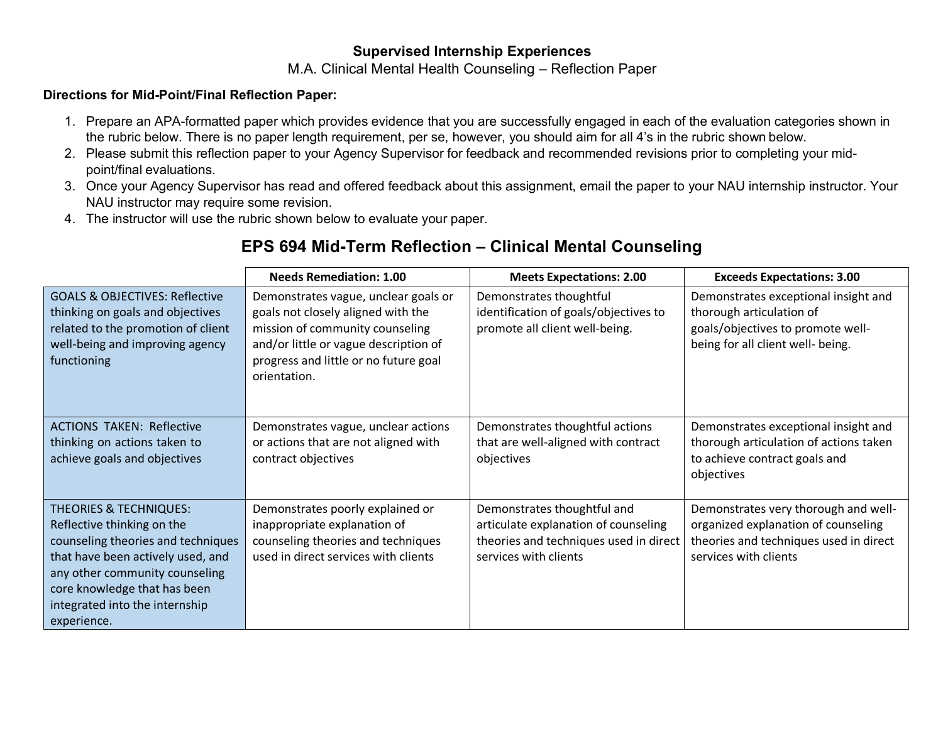## **Supervised Internship Experiences**

## M.A. Clinical Mental Health Counseling – Reflection Paper

## **Directions for Mid-Point/Final Reflection Paper:**

- 1. Prepare an APA-formatted paper which provides evidence that you are successfully engaged in each of the evaluation categories shown in the rubric below. There is no paper length requirement, per se, however, you should aim for all 4's in the rubric shown below.
- 2. Please submit this reflection paper to your Agency Supervisor for feedback and recommended revisions prior to completing your midpoint/final evaluations.
- 3. Once your Agency Supervisor has read and offered feedback about this assignment, email the paper to your NAU internship instructor. Your NAU instructor may require some revision.
- 4. The instructor will use the rubric shown below to evaluate your paper.

## **EPS 694 Mid-Term Reflection – Clinical Mental Counseling**

|                                                                                                                                                                                                                                                               | <b>Needs Remediation: 1.00</b>                                                                                                                                                                                  | <b>Meets Expectations: 2.00</b>                                                                                                        | <b>Exceeds Expectations: 3.00</b>                                                                                                              |
|---------------------------------------------------------------------------------------------------------------------------------------------------------------------------------------------------------------------------------------------------------------|-----------------------------------------------------------------------------------------------------------------------------------------------------------------------------------------------------------------|----------------------------------------------------------------------------------------------------------------------------------------|------------------------------------------------------------------------------------------------------------------------------------------------|
| <b>GOALS &amp; OBJECTIVES: Reflective</b><br>thinking on goals and objectives<br>related to the promotion of client<br>well-being and improving agency<br>functioning                                                                                         | Demonstrates vague, unclear goals or<br>goals not closely aligned with the<br>mission of community counseling<br>and/or little or vague description of<br>progress and little or no future goal<br>orientation. | Demonstrates thoughtful<br>identification of goals/objectives to<br>promote all client well-being.                                     | Demonstrates exceptional insight and<br>thorough articulation of<br>goals/objectives to promote well-<br>being for all client well- being.     |
| <b>ACTIONS TAKEN: Reflective</b><br>thinking on actions taken to<br>achieve goals and objectives                                                                                                                                                              | Demonstrates vague, unclear actions<br>or actions that are not aligned with<br>contract objectives                                                                                                              | Demonstrates thoughtful actions<br>that are well-aligned with contract<br>objectives                                                   | Demonstrates exceptional insight and<br>thorough articulation of actions taken<br>to achieve contract goals and<br>objectives                  |
| <b>THEORIES &amp; TECHNIQUES:</b><br>Reflective thinking on the<br>counseling theories and techniques<br>that have been actively used, and<br>any other community counseling<br>core knowledge that has been<br>integrated into the internship<br>experience. | Demonstrates poorly explained or<br>inappropriate explanation of<br>counseling theories and techniques<br>used in direct services with clients                                                                  | Demonstrates thoughtful and<br>articulate explanation of counseling<br>theories and techniques used in direct<br>services with clients | Demonstrates very thorough and well-<br>organized explanation of counseling<br>theories and techniques used in direct<br>services with clients |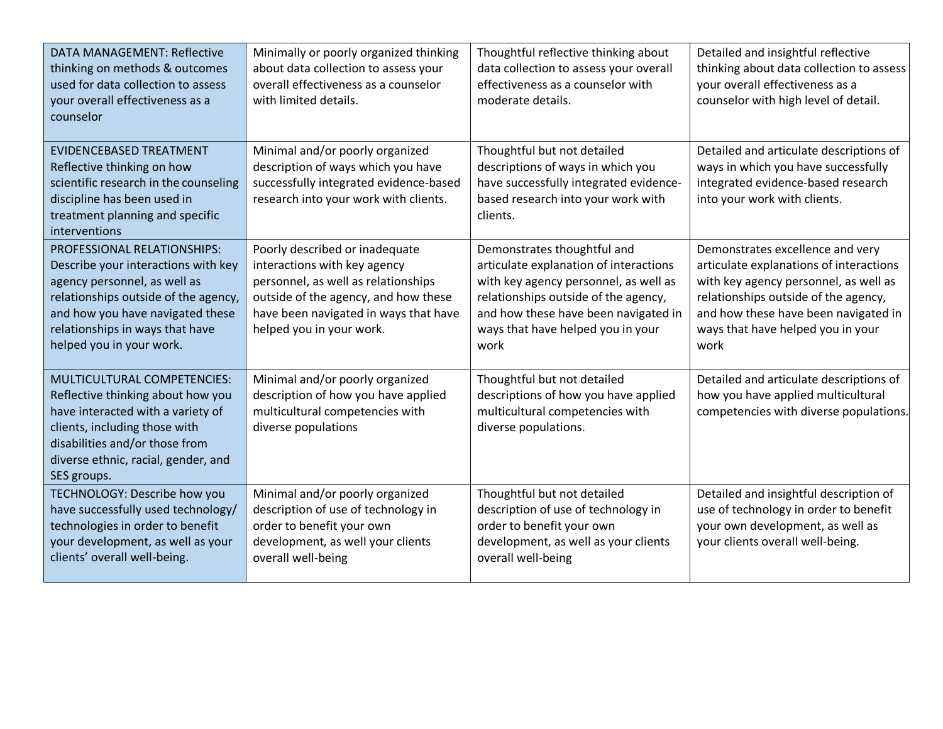| <b>DATA MANAGEMENT: Reflective</b><br>thinking on methods & outcomes<br>used for data collection to assess<br>your overall effectiveness as a<br>counselor                                                                                    | Minimally or poorly organized thinking<br>about data collection to assess your<br>overall effectiveness as a counselor<br>with limited details.                                                                    | Thoughtful reflective thinking about<br>data collection to assess your overall<br>effectiveness as a counselor with<br>moderate details.                                                                                                    | Detailed and insightful reflective<br>thinking about data collection to assess<br>your overall effectiveness as a<br>counselor with high level of detail.                                                                                         |
|-----------------------------------------------------------------------------------------------------------------------------------------------------------------------------------------------------------------------------------------------|--------------------------------------------------------------------------------------------------------------------------------------------------------------------------------------------------------------------|---------------------------------------------------------------------------------------------------------------------------------------------------------------------------------------------------------------------------------------------|---------------------------------------------------------------------------------------------------------------------------------------------------------------------------------------------------------------------------------------------------|
| <b>EVIDENCEBASED TREATMENT</b><br>Reflective thinking on how<br>scientific research in the counseling<br>discipline has been used in<br>treatment planning and specific<br>interventions                                                      | Minimal and/or poorly organized<br>description of ways which you have<br>successfully integrated evidence-based<br>research into your work with clients.                                                           | Thoughtful but not detailed<br>descriptions of ways in which you<br>have successfully integrated evidence-<br>based research into your work with<br>clients.                                                                                | Detailed and articulate descriptions of<br>ways in which you have successfully<br>integrated evidence-based research<br>into your work with clients.                                                                                              |
| PROFESSIONAL RELATIONSHIPS:<br>Describe your interactions with key<br>agency personnel, as well as<br>relationships outside of the agency,<br>and how you have navigated these<br>relationships in ways that have<br>helped you in your work. | Poorly described or inadequate<br>interactions with key agency<br>personnel, as well as relationships<br>outside of the agency, and how these<br>have been navigated in ways that have<br>helped you in your work. | Demonstrates thoughtful and<br>articulate explanation of interactions<br>with key agency personnel, as well as<br>relationships outside of the agency,<br>and how these have been navigated in<br>ways that have helped you in your<br>work | Demonstrates excellence and very<br>articulate explanations of interactions<br>with key agency personnel, as well as<br>relationships outside of the agency,<br>and how these have been navigated in<br>ways that have helped you in your<br>work |
| MULTICULTURAL COMPETENCIES:<br>Reflective thinking about how you<br>have interacted with a variety of<br>clients, including those with<br>disabilities and/or those from<br>diverse ethnic, racial, gender, and<br>SES groups.                | Minimal and/or poorly organized<br>description of how you have applied<br>multicultural competencies with<br>diverse populations                                                                                   | Thoughtful but not detailed<br>descriptions of how you have applied<br>multicultural competencies with<br>diverse populations.                                                                                                              | Detailed and articulate descriptions of<br>how you have applied multicultural<br>competencies with diverse populations.                                                                                                                           |
| TECHNOLOGY: Describe how you<br>have successfully used technology/<br>technologies in order to benefit<br>your development, as well as your<br>clients' overall well-being.                                                                   | Minimal and/or poorly organized<br>description of use of technology in<br>order to benefit your own<br>development, as well your clients<br>overall well-being                                                     | Thoughtful but not detailed<br>description of use of technology in<br>order to benefit your own<br>development, as well as your clients<br>overall well-being                                                                               | Detailed and insightful description of<br>use of technology in order to benefit<br>your own development, as well as<br>your clients overall well-being.                                                                                           |